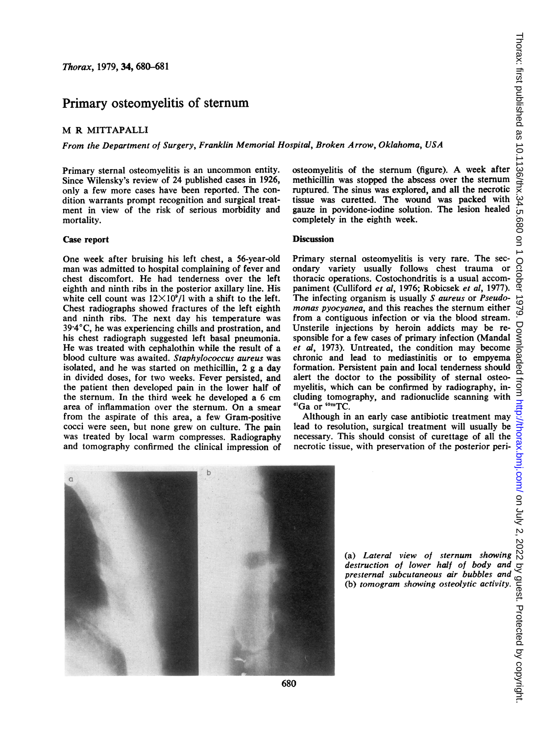# Primary osteomyelitis of sternum

### M R MITTAPALLI

From the Department of Surgery, Franklin Memorial Hospital, Broken Arrow, Oklahoma, USA

Primary sternal osteomyelitis is an uncommon entity. Since Wilensky's review of 24 published cases in 1926, only a few more cases have been reported. The condition warrants prompt recognition and surgical treatment in view of the risk of serious morbidity and mortality.

#### Case report

One week after bruising his left chest, a 56-year-old man was admitted to hospital complaining of fever and chest discomfort. He had tenderness over the left eighth and ninth ribs in the posterior axillary line. His white cell count was  $12\times10^9/1$  with a shift to the left. Chest radiographs showed fractures of the left eighth and ninth ribs. The next day his temperature was 39 4'C, he was experiencing chills and prostration, and his chest radiograph suggested left basal pneumonia. He was treated with cephalothin while the result of a blood culture was awaited. Staphylococcus aureus was isolated, and he was started on methicillin, 2 g a day in divided doses, for two weeks. Fever persisted, and the patient then developed pain in the lower half of the sternum. In the third week he developed a 6 cm area of inflammation over the sternum. On a smear from the aspirate of this area, a few Gram-positive cocci were seen, but none grew on culture. The pain was treated by local warm compresses. Radiography and tomography confirmed the clinical impression of osteomyelitis of the sternum (figure). A week after methicillin was stopped the abscess over the sternum ruptured. The sinus was explored, and all the necrotic tissue was curetted. The wound was packed with gauze in povidone-iodine solution. The lesion healed completely in the eighth week.

## **Discussion**

Primary sternal osteomyelitis is very rare. The secondary variety usually follows chest trauma or thoracic operations. Costochondritis is a usual accompaniment (Culliford et al, 1976; Robicsek et al, 1977). The infecting organism is usually S aureus or Pseudomonas pyocyanea, and this reaches the sternum either from a contiguous infection or via the blood stream. Unsterile injections by heroin addicts may be responsible for a few cases of primary infection (Mandal et al, 1973). Untreated, the condition may become chronic and lead to mediastinitis or to empyema formation. Persistent pain and local tenderness should alert the doctor to the possibility of sternal osteomyelitis, which can be confirmed by radiography, including tomography, and radionuclide scanning with <sup>67</sup>Ga or <sup>69m</sup>TC.

Although in an early case antibiotic treatment may lead to resolution, surgical treatment will usually be Although in an early case antibiotic treatment may  $\frac{1}{2}$ <br>
lead to resolution, surgical treatment will usually be<br>
necessary. This should consist of curettage of all the next<br>
necrotic tissue, with preservation of the necrotic tissue, with preservation of the posterior peri-



(a) Lateral view of sternum showing destruction of lower half of body and presternal subcutaneous air bubbles and (b) tomogram showing osteolytic activity.